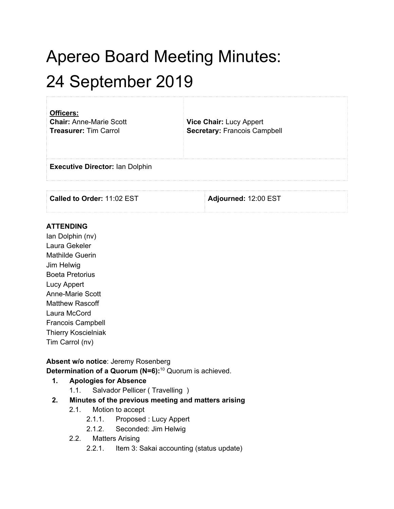# Apereo Board Meeting Minutes: 24 September 2019

| Officers:<br><b>Chair: Anne-Marie Scott</b><br><b>Treasurer: Tim Carrol</b> | Vice Chair: Lucy Appert<br><b>Secretary: Francois Campbell</b> |  |
|-----------------------------------------------------------------------------|----------------------------------------------------------------|--|
| <b>Executive Director: Ian Dolphin</b>                                      |                                                                |  |
| Called to Order: 11:02 EST                                                  | Adjourned: 12:00 EST                                           |  |

#### **ATTENDING**

Ian Dolphin (nv) Laura Gekeler Mathilde Guerin Jim Helwig Boeta Pretorius Lucy Appert Anne-Marie Scott Matthew Rascoff Laura McCord Francois Campbell Thierry Koscielniak Tim Carrol (nv)

#### **Absent w/o notice**: Jeremy Rosenberg **Determination of a Quorum (N=6):** <sup>10</sup> Quorum is achieved.

#### **1. Apologies for Absence**

1.1. Salvador Pellicer ( Travelling )

#### **2. Minutes of the previous meeting and matters arising**

- 2.1. Motion to accept
	- 2.1.1. Proposed : Lucy Appert
	- 2.1.2. Seconded: Jim Helwig
- 2.2. Matters Arising
	- 2.2.1. Item 3: Sakai accounting (status update)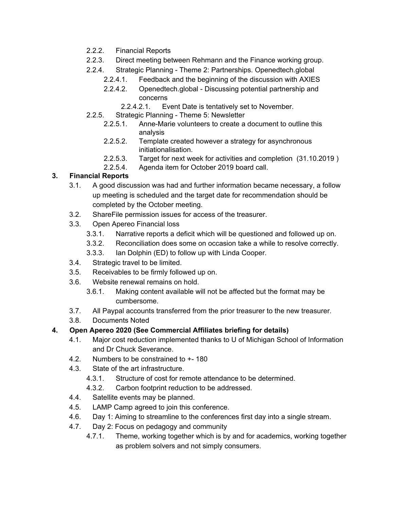- 2.2.2. Financial Reports
- 2.2.3. Direct meeting between Rehmann and the Finance working group.
- 2.2.4. Strategic Planning Theme 2: Partnerships. Openedtech.global
	- 2.2.4.1. Feedback and the beginning of the discussion with AXIES
		- 2.2.4.2. Openedtech.global Discussing potential partnership and concerns
			- 2.2.4.2.1. Event Date is tentatively set to November.
- 2.2.5. Strategic Planning Theme 5: Newsletter
	- 2.2.5.1. Anne-Marie volunteers to create a document to outline this analysis
	- 2.2.5.2. Template created however a strategy for asynchronous initiationalisation.
	- 2.2.5.3. Target for next week for activities and completion (31.10.2019 )
	- 2.2.5.4. Agenda item for October 2019 board call.

#### **3. Financial Reports**

- 3.1. A good discussion was had and further information became necessary, a follow up meeting is scheduled and the target date for recommendation should be completed by the October meeting.
- 3.2. ShareFile permission issues for access of the treasurer.
- 3.3. Open Apereo Financial loss
	- 3.3.1. Narrative reports a deficit which will be questioned and followed up on.
	- 3.3.2. Reconciliation does some on occasion take a while to resolve correctly.
	- 3.3.3. Ian Dolphin (ED) to follow up with Linda Cooper.
- 3.4. Strategic travel to be limited.
- 3.5. Receivables to be firmly followed up on.
- 3.6. Website renewal remains on hold.
	- 3.6.1. Making content available will not be affected but the format may be cumbersome.
- 3.7. All Paypal accounts transferred from the prior treasurer to the new treasurer.
- 3.8. Documents Noted
- **4. Open Apereo 2020 (See Commercial Affiliates briefing for details)**
	- 4.1. Major cost reduction implemented thanks to U of Michigan School of Information and Dr Chuck Severance.
	- 4.2. Numbers to be constrained to +- 180
	- 4.3. State of the art infrastructure.
		- 4.3.1. Structure of cost for remote attendance to be determined.
		- 4.3.2. Carbon footprint reduction to be addressed.
	- 4.4. Satellite events may be planned.
	- 4.5. LAMP Camp agreed to join this conference.
	- 4.6. Day 1: Aiming to streamline to the conferences first day into a single stream.
	- 4.7. Day 2: Focus on pedagogy and community
		- 4.7.1. Theme, working together which is by and for academics, working together as problem solvers and not simply consumers.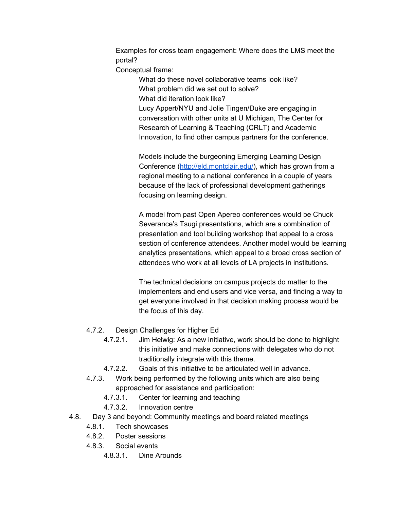Examples for cross team engagement: Where does the LMS meet the portal?

Conceptual frame:

What do these novel collaborative teams look like? What problem did we set out to solve? What did iteration look like? Lucy Appert/NYU and Jolie Tingen/Duke are engaging in conversation with other units at U Michigan, The Center for Research of Learning & Teaching (CRLT) and Academic Innovation, to find other campus partners for the conference.

Models include the burgeoning Emerging Learning Design Conference ([http://eld.montclair.edu/\)](http://eld.montclair.edu/), which has grown from a regional meeting to a national conference in a couple of years because of the lack of professional development gatherings focusing on learning design.

A model from past Open Apereo conferences would be Chuck Severance's Tsugi presentations, which are a combination of presentation and tool building workshop that appeal to a cross section of conference attendees. Another model would be learning analytics presentations, which appeal to a broad cross section of attendees who work at all levels of LA projects in institutions.

The technical decisions on campus projects do matter to the implementers and end users and vice versa, and finding a way to get everyone involved in that decision making process would be the focus of this day.

- 4.7.2. Design Challenges for Higher Ed
	- 4.7.2.1. Jim Helwig: As a new initiative, work should be done to highlight this initiative and make connections with delegates who do not traditionally integrate with this theme.
	- 4.7.2.2. Goals of this initiative to be articulated well in advance.
- 4.7.3. Work being performed by the following units which are also being approached for assistance and participation:
	- 4.7.3.1. Center for learning and teaching
	- 4.7.3.2. Innovation centre
- 4.8. Day 3 and beyond: Community meetings and board related meetings
	- 4.8.1. Tech showcases
	- 4.8.2. Poster sessions
	- 4.8.3. Social events
		- 4.8.3.1. Dine Arounds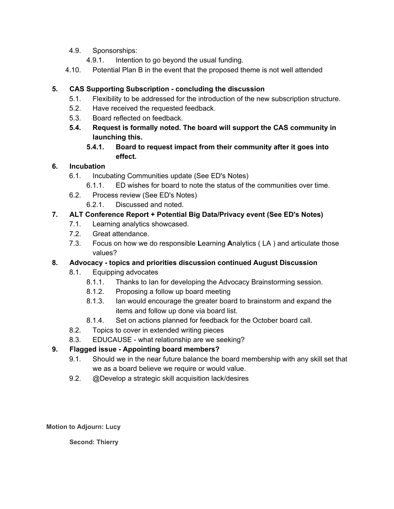- 4.9. Sponsorships:
	- 4.9.1. Intention to go beyond the usual funding.
- 4.10. Potential Plan B in the event that the proposed theme is not well attended

#### **5. CAS Supporting Subscription - concluding the discussion**

- 5.1. Flexibility to be addressed for the introduction of the new subscription structure.
- 5.2. Have received the requested feedback.
- 5.3. Board reflected on feedback.
- **5.4. Request is formally noted. The board will support the CAS community in launching this.**
	- **5.4.1. Board to request impact from their community after it goes into effect.**

#### **6. Incubation**

- 6.1. Incubating Communities update (See ED's Notes)
	- 6.1.1. ED wishes for board to note the status of the communities over time.
- 6.2. Process review (See ED's Notes)
	- 6.2.1. Discussed and noted.

#### **7. ALT Conference Report + Potential Big Data/Privacy event (See ED's Notes)**

- 7.1. Learning analytics showcased.
- 7.2. Great attendance.
- 7.3. Focus on how we do responsible **L**earning **A**nalytics ( LA ) and articulate those values?

#### **8. Advocacy - topics and priorities discussion continued August Discussion**

- 8.1. Equipping advocates
	- 8.1.1. Thanks to Ian for developing the Advocacy Brainstorming session.
	- 8.1.2. Proposing a follow up board meeting
	- 8.1.3. Ian would encourage the greater board to brainstorm and expand the items and follow up done via board list.
	- 8.1.4. Set on actions planned for feedback for the October board call.
- 8.2. Topics to cover in extended writing pieces
- 8.3. EDUCAUSE what relationship are we seeking?

# **9. Flagged issue - Appointing board members?**

- 9.1. Should we in the near future balance the board membership with any skill set that we as a board believe we require or would value.
- 9.2. @Develop a strategic skill acquisition lack/desires

**Motion to Adjourn: Lucy**

**Second: Thierry**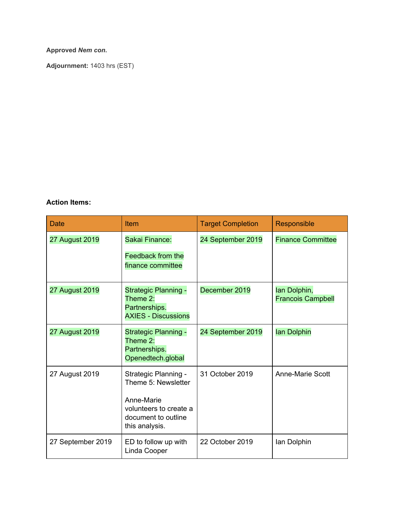#### **Approved** *Nem con***.**

**Adjournment:** 1403 hrs (EST)

#### **Action Items:**

| <b>Date</b>       | Item                                                                                                                         | <b>Target Completion</b> | Responsible                              |
|-------------------|------------------------------------------------------------------------------------------------------------------------------|--------------------------|------------------------------------------|
| 27 August 2019    | Sakai Finance:<br>Feedback from the<br>finance committee                                                                     | 24 September 2019        | <b>Finance Committee</b>                 |
| 27 August 2019    | <b>Strategic Planning -</b><br>Theme $2$ :<br>Partnerships.<br><b>AXIES - Discussions</b>                                    | December 2019            | lan Dolphin,<br><b>Francois Campbell</b> |
| 27 August 2019    | Strategic Planning -<br>Theme 2:<br>Partnerships.<br>Openedtech.global                                                       | 24 September 2019        | lan Dolphin                              |
| 27 August 2019    | Strategic Planning -<br>Theme 5: Newsletter<br>Anne-Marie<br>volunteers to create a<br>document to outline<br>this analysis. | 31 October 2019          | <b>Anne-Marie Scott</b>                  |
| 27 September 2019 | ED to follow up with<br>Linda Cooper                                                                                         | 22 October 2019          | lan Dolphin                              |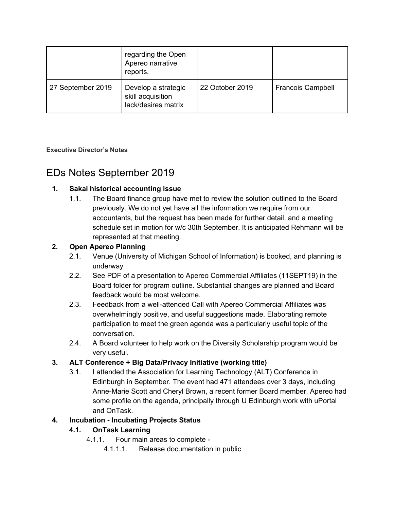|                   | regarding the Open<br>Apereo narrative<br>reports.              |                 |                          |
|-------------------|-----------------------------------------------------------------|-----------------|--------------------------|
| 27 September 2019 | Develop a strategic<br>skill acquisition<br>lack/desires matrix | 22 October 2019 | <b>Francois Campbell</b> |

**Executive Director's Notes**

# EDs Notes September 2019

# **1. Sakai historical accounting issue**

1.1. The Board finance group have met to review the solution outlined to the Board previously. We do not yet have all the information we require from our accountants, but the request has been made for further detail, and a meeting schedule set in motion for w/c 30th September. It is anticipated Rehmann will be represented at that meeting.

# **2. Open Apereo Planning**

- 2.1. Venue (University of Michigan School of Information) is booked, and planning is underway
- 2.2. See PDF of a presentation to Apereo Commercial Affiliates (11SEPT19) in the Board folder for program outline. Substantial changes are planned and Board feedback would be most welcome.
- 2.3. Feedback from a well-attended Call with Apereo Commercial Affiliates was overwhelmingly positive, and useful suggestions made. Elaborating remote participation to meet the green agenda was a particularly useful topic of the conversation.
- 2.4. A Board volunteer to help work on the Diversity Scholarship program would be very useful.

# **3. ALT Conference + Big Data/Privacy Initiative (working title)**

3.1. I attended the Association for Learning Technology (ALT) Conference in Edinburgh in September. The event had 471 attendees over 3 days, including Anne-Marie Scott and Cheryl Brown, a recent former Board member. Apereo had some profile on the agenda, principally through U Edinburgh work with uPortal and OnTask.

# **4. Incubation - Incubating Projects Status**

# **4.1. OnTask Learning**

- 4.1.1. Four main areas to complete
	- 4.1.1.1. Release documentation in public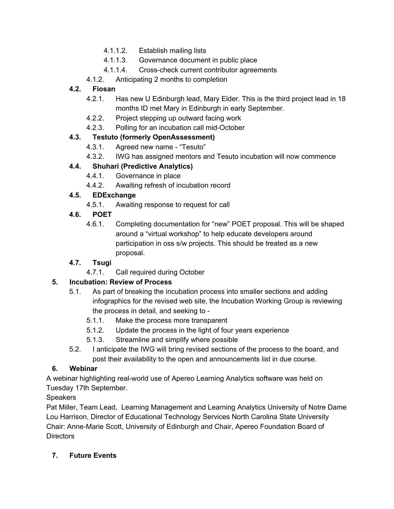- 4.1.1.2. Establish mailing lists
- 4.1.1.3. Governance document in public place
- 4.1.1.4. Cross-check current contributor agreements
- 4.1.2. Anticipating 2 months to completion

#### **4.2. Fiosan**

- 4.2.1. Has new U Edinburgh lead, Mary Elder. This is the third project lead in 18 months ID met Mary in Edinburgh in early September.
- 4.2.2. Project stepping up outward facing work
- 4.2.3. Polling for an incubation call mid-October

# **4.3. Testuto (formerly OpenAssessment)**

- 4.3.1. Agreed new name "Tesuto"
- 4.3.2. IWG has assigned mentors and Tesuto incubation will now commence

# **4.4. Shuhari (Predictive Analytics)**

- 4.4.1. Governance in place
- 4.4.2. Awaiting refresh of incubation record

# **4.5. EDExchange**

4.5.1. Awaiting response to request for call

# **4.6. POET**

4.6.1. Completing documentation for "new" POET proposal. This will be shaped around a "virtual workshop" to help educate developers around participation in oss s/w projects. This should be treated as a new proposal.

# **4.7. Tsugi**

4.7.1. Call required during October

# **5. Incubation: Review of Process**

- 5.1. As part of breaking the incubation process into smaller sections and adding infographics for the revised web site, the Incubation Working Group is reviewing the process in detail, and seeking to -
	- 5.1.1. Make the process more transparent
	- 5.1.2. Update the process in the light of four years experience
	- 5.1.3. Streamline and simplify where possible
- 5.2. I anticipate the IWG will bring revised sections of the process to the board, and post their availability to the open and announcements list in due course.

# **6. Webinar**

A webinar highlighting real-world use of Apereo Learning Analytics software was held on Tuesday 17th September.

# **Speakers**

Pat Miller, Team Lead, Learning Management and Learning Analytics University of Notre Dame Lou Harrison, Director of Educational Technology Services North Carolina State University Chair: Anne-Marie Scott, University of Edinburgh and Chair, Apereo Foundation Board of **Directors** 

# **7. Future Events**